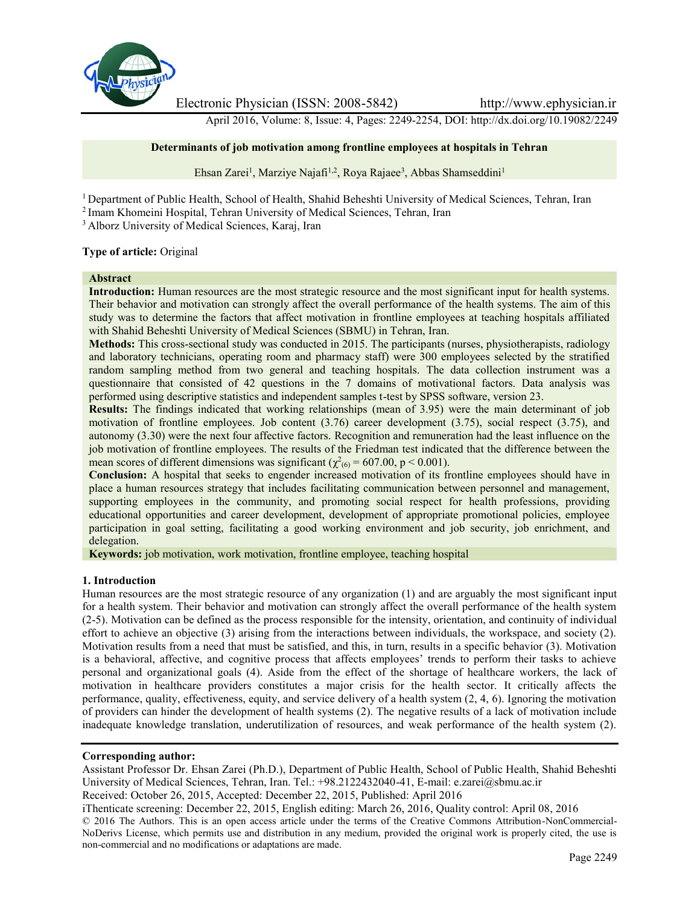

Electronic Physician (ISSN: 2008-5842) http://www.ephysician.ir

April 2016, Volume: 8, Issue: 4, Pages: 2249-2254, DOI: http://dx.doi.org/10.19082/2249

### **Determinants of job motivation among frontline employees at hospitals in Tehran**

Ehsan Zarei<sup>1</sup>, Marziye Najafi<sup>1,2</sup>, Roya Rajaee<sup>3</sup>, Abbas Shamseddini<sup>1</sup>

<sup>1</sup> Department of Public Health, School of Health, Shahid Beheshti University of Medical Sciences, Tehran, Iran

<sup>2</sup> Imam Khomeini Hospital, Tehran University of Medical Sciences, Tehran, Iran

<sup>3</sup> Alborz University of Medical Sciences, Karaj, Iran

### **Type of article:** Original

## **Abstract**

**Introduction:** Human resources are the most strategic resource and the most significant input for health systems. Their behavior and motivation can strongly affect the overall performance of the health systems. The aim of this study was to determine the factors that affect motivation in frontline employees at teaching hospitals affiliated with Shahid Beheshti University of Medical Sciences (SBMU) in Tehran, Iran.

**Methods:** This cross-sectional study was conducted in 2015. The participants (nurses, physiotherapists, radiology and laboratory technicians, operating room and pharmacy staff) were 300 employees selected by the stratified random sampling method from two general and teaching hospitals. The data collection instrument was a questionnaire that consisted of 42 questions in the 7 domains of motivational factors. Data analysis was performed using descriptive statistics and independent samples t-test by SPSS software, version 23.

**Results:** The findings indicated that working relationships (mean of 3.95) were the main determinant of job motivation of frontline employees. Job content (3.76) career development (3.75), social respect (3.75), and autonomy (3.30) were the next four affective factors. Recognition and remuneration had the least influence on the job motivation of frontline employees. The results of the Friedman test indicated that the difference between the mean scores of different dimensions was significant ( $\chi^2$ <sub>(6)</sub> = 607.00, p < 0.001).

**Conclusion:** A hospital that seeks to engender increased motivation of its frontline employees should have in place a human resources strategy that includes facilitating communication between personnel and management, supporting employees in the community, and promoting social respect for health professions, providing educational opportunities and career development, development of appropriate promotional policies, employee participation in goal setting, facilitating a good working environment and job security, job enrichment, and delegation.

**Keywords:** job motivation, work motivation, frontline employee, teaching hospital

### **1. Introduction**

Human resources are the most strategic resource of any organization (1) and are arguably the most significant input for a health system. Their behavior and motivation can strongly affect the overall performance of the health system (2-5). Motivation can be defined as the process responsible for the intensity, orientation, and continuity of individual effort to achieve an objective (3) arising from the interactions between individuals, the workspace, and society (2). Motivation results from a need that must be satisfied, and this, in turn, results in a specific behavior (3). Motivation is a behavioral, affective, and cognitive process that affects employees' trends to perform their tasks to achieve personal and organizational goals (4). Aside from the effect of the shortage of healthcare workers, the lack of motivation in healthcare providers constitutes a major crisis for the health sector. It critically affects the performance, quality, effectiveness, equity, and service delivery of a health system (2, 4, 6). Ignoring the motivation of providers can hinder the development of health systems (2). The negative results of a lack of motivation include inadequate knowledge translation, underutilization of resources, and weak performance of the health system (2).

### **Corresponding author:**

Assistant Professor Dr. Ehsan Zarei (Ph.D.), Department of Public Health, School of Public Health, Shahid Beheshti University of Medical Sciences, Tehran, Iran. Tel.: +98.2122432040-41, E-mail: e.zarei@sbmu.ac.ir

Received: October 26, 2015, Accepted: December 22, 2015, Published: April 2016

iThenticate screening: December 22, 2015, English editing: March 26, 2016, Quality control: April 08, 2016 © 2016 The Authors. This is an open access article under the terms of the Creative Commons Attribution-NonCommercial-

NoDerivs License, which permits use and distribution in any medium, provided the original work is properly cited, the use is non-commercial and no modifications or adaptations are made.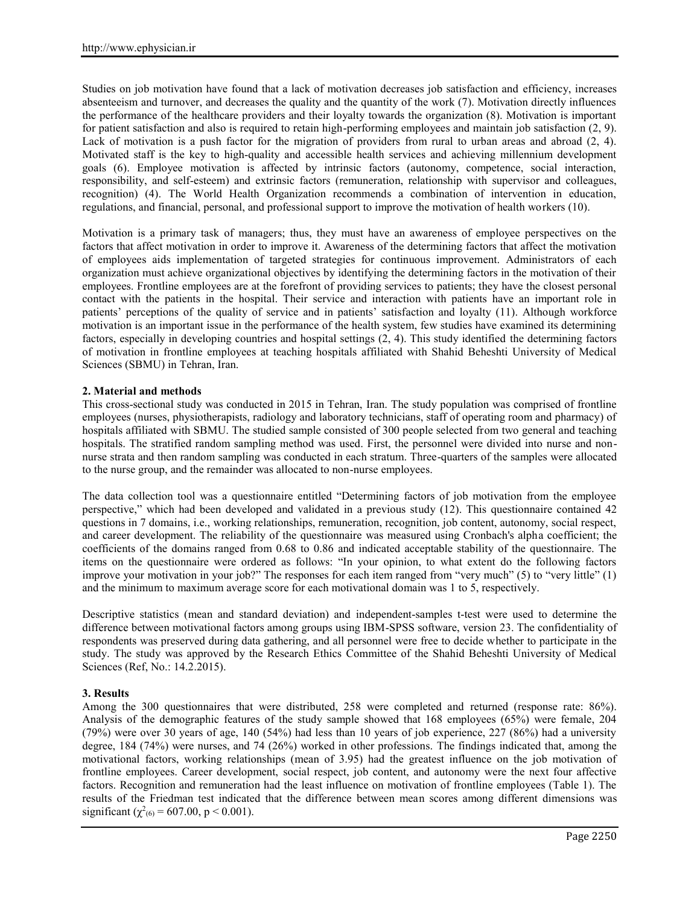Studies on job motivation have found that a lack of motivation decreases job satisfaction and efficiency, increases absenteeism and turnover, and decreases the quality and the quantity of the work (7). Motivation directly influences the performance of the healthcare providers and their loyalty towards the organization (8). Motivation is important for patient satisfaction and also is required to retain high-performing employees and maintain job satisfaction (2, 9). Lack of motivation is a push factor for the migration of providers from rural to urban areas and abroad (2, 4). Motivated staff is the key to high-quality and accessible health services and achieving millennium development goals (6). Employee motivation is affected by intrinsic factors (autonomy, competence, social interaction, responsibility, and self-esteem) and extrinsic factors (remuneration, relationship with supervisor and colleagues, recognition) (4). The World Health Organization recommends a combination of intervention in education, regulations, and financial, personal, and professional support to improve the motivation of health workers (10).

Motivation is a primary task of managers; thus, they must have an awareness of employee perspectives on the factors that affect motivation in order to improve it. Awareness of the determining factors that affect the motivation of employees aids implementation of targeted strategies for continuous improvement. Administrators of each organization must achieve organizational objectives by identifying the determining factors in the motivation of their employees. Frontline employees are at the forefront of providing services to patients; they have the closest personal contact with the patients in the hospital. Their service and interaction with patients have an important role in patients' perceptions of the quality of service and in patients' satisfaction and loyalty (11). Although workforce motivation is an important issue in the performance of the health system, few studies have examined its determining factors, especially in developing countries and hospital settings (2, 4). This study identified the determining factors of motivation in frontline employees at teaching hospitals affiliated with Shahid Beheshti University of Medical Sciences (SBMU) in Tehran, Iran.

## **2. Material and methods**

This cross-sectional study was conducted in 2015 in Tehran, Iran. The study population was comprised of frontline employees (nurses, physiotherapists, radiology and laboratory technicians, staff of operating room and pharmacy) of hospitals affiliated with SBMU. The studied sample consisted of 300 people selected from two general and teaching hospitals. The stratified random sampling method was used. First, the personnel were divided into nurse and non nurse strata and then random sampling was conducted in each stratum. Three-quarters of the samples were allocated to the nurse group, and the remainder was allocated to non-nurse employees.

The data collection tool was a questionnaire entitled "Determining factors of job motivation from the employee perspective," which had been developed and validated in a previous study (12). This questionnaire contained 42 questions in 7 domains, i.e., working relationships, remuneration, recognition, job content, autonomy, social respect, and career development. The reliability of the questionnaire was measured using Cronbach's alpha coefficient; the coefficients of the domains ranged from 0.68 to 0.86 and indicated acceptable stability of the questionnaire. The items on the questionnaire were ordered as follows: "In your opinion, to what extent do the following factors improve your motivation in your job?" The responses for each item ranged from "very much" (5) to "very little" (1) and the minimum to maximum average score for each motivational domain was 1 to 5, respectively.

Descriptive statistics (mean and standard deviation) and independent-samples t-test were used to determine the difference between motivational factors among groups using IBM-SPSS software, version 23. The confidentiality of respondents was preserved during data gathering, and all personnel were free to decide whether to participate in the study. The study was approved by the Research Ethics Committee of the Shahid Beheshti University of Medical Sciences (Ref, No.: 14.2.2015).

# **3. Results**

Among the 300 questionnaires that were distributed, 258 were completed and returned (response rate: 86%). Analysis of the demographic features of the study sample showed that 168 employees (65%) were female, 204 (79%) were over 30 years of age, 140 (54%) had less than 10 years of job experience, 227 (86%) had a university degree, 184 (74%) were nurses, and 74 (26%) worked in other professions. The findings indicated that, among the motivational factors, working relationships (mean of 3.95) had the greatest influence on the job motivation of frontline employees. Career development, social respect, job content, and autonomy were the next four affective factors. Recognition and remuneration had the least influence on motivation of frontline employees (Table 1). The results of the Friedman test indicated that the difference between mean scores among different dimensions was significant ( $\chi^2$ <sub>(6)</sub> = 607.00, p < 0.001).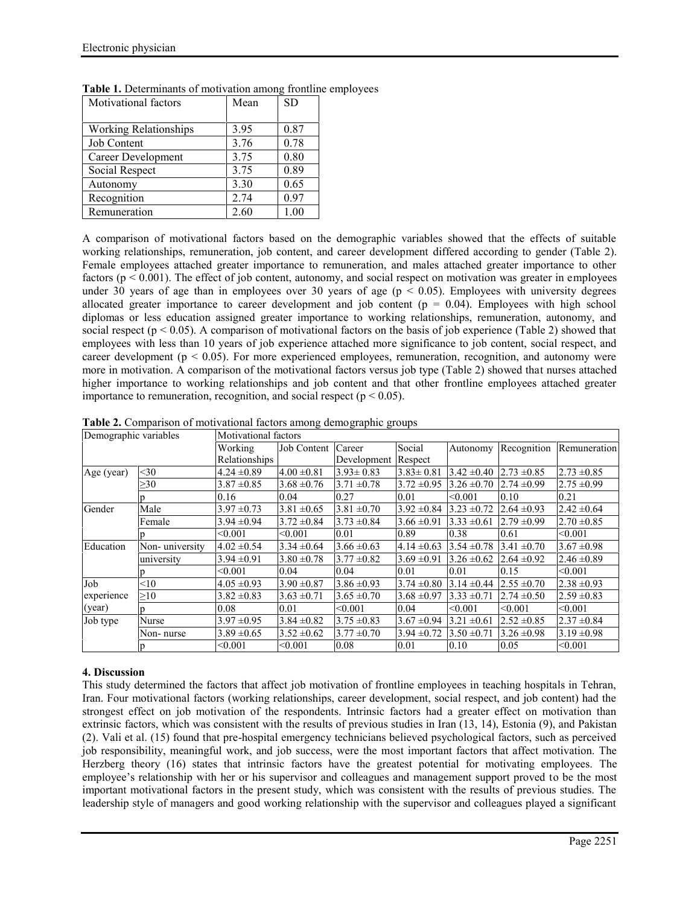| Motivational factors         | Mean | <b>SD</b> |
|------------------------------|------|-----------|
|                              |      |           |
| <b>Working Relationships</b> | 3.95 | 0.87      |
| Job Content                  | 3.76 | 0.78      |
| Career Development           | 3.75 | 0.80      |
| Social Respect               | 3.75 | 0.89      |
| Autonomy                     | 3.30 | 0.65      |
| Recognition                  | 2.74 | 0.97      |
| Remuneration                 | 2.60 | 1.00      |

**Table 1.** Determinants of motivation among frontline employees

A comparison of motivational factors based on the demographic variables showed that the effects of suitable working relationships, remuneration, job content, and career development differed according to gender (Table 2). Female employees attached greater importance to remuneration, and males attached greater importance to other factors ( $p < 0.001$ ). The effect of job content, autonomy, and social respect on motivation was greater in employees under 30 years of age than in employees over 30 years of age ( $p < 0.05$ ). Employees with university degrees allocated greater importance to career development and job content ( $p = 0.04$ ). Employees with high school diplomas or less education assigned greater importance to working relationships, remuneration, autonomy, and social respect ( $p < 0.05$ ). A comparison of motivational factors on the basis of job experience (Table 2) showed that employees with less than 10 years of job experience attached more significance to job content, social respect, and career development ( $p < 0.05$ ). For more experienced employees, remuneration, recognition, and autonomy were more in motivation. A comparison of the motivational factors versus job type (Table 2) showed that nurses attached higher importance to working relationships and job content and that other frontline employees attached greater importance to remuneration, recognition, and social respect ( $p < 0.05$ ).

| Demographic variables |                | Motivational factors |                      |                     |                 |                 |                 |                 |
|-----------------------|----------------|----------------------|----------------------|---------------------|-----------------|-----------------|-----------------|-----------------|
|                       |                | Working              | Job Content   Career |                     | Social          | Autonomy        | Recognition     | Remuneration    |
|                       |                | Relationships        |                      | Development Respect |                 |                 |                 |                 |
| Age (year)            | $30$           | $4.24 \pm 0.89$      | $4.00 \pm 0.81$      | $3.93 \pm 0.83$     | $3.83 \pm 0.81$ | $3.42 \pm 0.40$ | $2.73 \pm 0.85$ | $2.73 \pm 0.85$ |
|                       | $\geq 30$      | $3.87 \pm 0.85$      | $3.68 \pm 0.76$      | $3.71 \pm 0.78$     | $3.72 \pm 0.95$ | $3.26 \pm 0.70$ | $2.74 \pm 0.99$ | $2.75 \pm 0.99$ |
|                       |                | 0.16                 | 0.04                 | 0.27                | 0.01            | < 0.001         | 0.10            | 0.21            |
| Gender                | Male           | $3.97 \pm 0.73$      | $3.81 \pm 0.65$      | $3.81 \pm 0.70$     | $3.92 \pm 0.84$ | $3.23 \pm 0.72$ | $2.64 \pm 0.93$ | $2.42 \pm 0.64$ |
|                       | Female         | $3.94 \pm 0.94$      | $3.72 \pm 0.84$      | $3.73 \pm 0.84$     | $3.66 \pm 0.91$ | $3.33 \pm 0.61$ | $2.79 \pm 0.99$ | $2.70 \pm 0.85$ |
|                       |                | < 0.001              | < 0.001              | 0.01                | 0.89            | 0.38            | 0.61            | < 0.001         |
| Education             | Non-university | $4.02 \pm 0.54$      | $3.34 \pm 0.64$      | $3.66 \pm 0.63$     | $4.14 \pm 0.63$ | $3.54 \pm 0.78$ | $3.41 \pm 0.70$ | $3.67 \pm 0.98$ |
|                       | university     | $3.94 \pm 0.91$      | $3.80 \pm 0.78$      | $3.77 \pm 0.82$     | $3.69 \pm 0.91$ | $3.26 \pm 0.62$ | $2.64 \pm 0.92$ | $2.46 \pm 0.89$ |
|                       | n              | < 0.001              | 0.04                 | 0.04                | 0.01            | 0.01            | 0.15            | < 0.001         |
| Job                   | < 10           | $4.05 \pm 0.93$      | $3.90 \pm 0.87$      | $3.86 \pm 0.93$     | $3.74 \pm 0.80$ | $3.14 \pm 0.44$ | $2.55 \pm 0.70$ | $2.38 \pm 0.93$ |
| experience            | $\geq10$       | $3.82 \pm 0.83$      | $3.63 \pm 0.71$      | $3.65 \pm 0.70$     | $3.68 \pm 0.97$ | $3.33 \pm 0.71$ | $2.74 \pm 0.50$ | $2.59 \pm 0.83$ |
| (year)                |                | 0.08                 | 0.01                 | < 0.001             | 0.04            | < 0.001         | < 0.001         | < 0.001         |
| Job type              | Nurse          | $3.97 \pm 0.95$      | $3.84 \pm 0.82$      | $3.75 \pm 0.83$     | $3.67 \pm 0.94$ | $3.21 \pm 0.61$ | $2.52 \pm 0.85$ | $2.37 \pm 0.84$ |
|                       | Non- nurse     | $3.89 \pm 0.65$      | $3.52 \pm 0.62$      | $3.77 \pm 0.70$     | $3.94 \pm 0.72$ | $3.50 \pm 0.71$ | $3.26 \pm 0.98$ | $3.19 \pm 0.98$ |
|                       |                | < 0.001              | < 0.001              | 0.08                | 0.01            | 0.10            | 0.05            | < 0.001         |

**Table 2.** Comparison of motivational factors among demographic groups

# **4. Discussion**

This study determined the factors that affect job motivation of frontline employees in teaching hospitals in Tehran, Iran. Four motivational factors (working relationships, career development, social respect, and job content) had the strongest effect on job motivation of the respondents. Intrinsic factors had a greater effect on motivation than extrinsic factors, which was consistent with the results of previous studies in Iran (13, 14), Estonia (9), and Pakistan (2). Vali et al. (15) found that pre-hospital emergency technicians believed psychological factors, such as perceived job responsibility, meaningful work, and job success, were the most important factors that affect motivation. The Herzberg theory (16) states that intrinsic factors have the greatest potential for motivating employees. The employee's relationship with her or his supervisor and colleagues and management support proved to be the most important motivational factors in the present study, which was consistent with the results of previous studies. The leadership style of managers and good working relationship with the supervisor and colleagues played a significant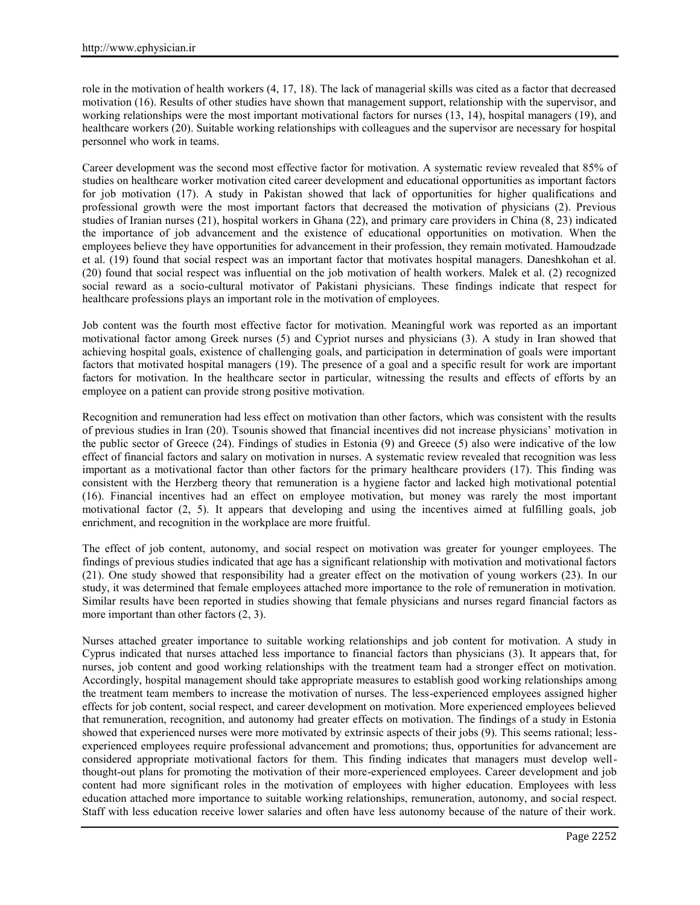role in the motivation of health workers (4, 17, 18). The lack of managerial skills was cited as a factor that decreased motivation (16). Results of other studies have shown that management support, relationship with the supervisor, and working relationships were the most important motivational factors for nurses (13, 14), hospital managers (19), and healthcare workers (20). Suitable working relationships with colleagues and the supervisor are necessary for hospital personnel who work in teams.

Career development was the second most effective factor for motivation. A systematic review revealed that 85% of studies on healthcare worker motivation cited career development and educational opportunities as important factors for job motivation (17). A study in Pakistan showed that lack of opportunities for higher qualifications and professional growth were the most important factors that decreased the motivation of physicians (2). Previous studies of Iranian nurses (21), hospital workers in Ghana (22), and primary care providers in China (8, 23) indicated the importance of job advancement and the existence of educational opportunities on motivation. When the employees believe they have opportunities for advancement in their profession, they remain motivated. Hamoudzade et al. (19) found that social respect was an important factor that motivates hospital managers. Daneshkohan et al. (20) found that social respect was influential on the job motivation of health workers. Malek et al. (2) recognized social reward as a socio-cultural motivator of Pakistani physicians. These findings indicate that respect for healthcare professions plays an important role in the motivation of employees.

Job content was the fourth most effective factor for motivation. Meaningful work was reported as an important motivational factor among Greek nurses (5) and Cypriot nurses and physicians (3). A study in Iran showed that achieving hospital goals, existence of challenging goals, and participation in determination of goals were important factors that motivated hospital managers (19). The presence of a goal and a specific result for work are important factors for motivation. In the healthcare sector in particular, witnessing the results and effects of efforts by an employee on a patient can provide strong positive motivation.

Recognition and remuneration had less effect on motivation than other factors, which was consistent with the results of previous studies in Iran (20). Tsounis showed that financial incentives did not increase physicians' motivation in the public sector of Greece (24). Findings of studies in Estonia (9) and Greece (5) also were indicative of the low effect of financial factors and salary on motivation in nurses. A systematic review revealed that recognition was less important as a motivational factor than other factors for the primary healthcare providers (17). This finding was consistent with the Herzberg theory that remuneration is a hygiene factor and lacked high motivational potential (16). Financial incentives had an effect on employee motivation, but money was rarely the most important motivational factor (2, 5). It appears that developing and using the incentives aimed at fulfilling goals, job enrichment, and recognition in the workplace are more fruitful.

The effect of job content, autonomy, and social respect on motivation was greater for younger employees. The findings of previous studies indicated that age has a significant relationship with motivation and motivational factors (21). One study showed that responsibility had a greater effect on the motivation of young workers (23). In our study, it was determined that female employees attached more importance to the role of remuneration in motivation. Similar results have been reported in studies showing that female physicians and nurses regard financial factors as more important than other factors (2, 3).

Nurses attached greater importance to suitable working relationships and job content for motivation. A study in Cyprus indicated that nurses attached less importance to financial factors than physicians (3). It appears that, for nurses, job content and good working relationships with the treatment team had a stronger effect on motivation. Accordingly, hospital management should take appropriate measures to establish good working relationships among the treatment team members to increase the motivation of nurses. The less-experienced employees assigned higher effects for job content, social respect, and career development on motivation. More experienced employees believed that remuneration, recognition, and autonomy had greater effects on motivation. The findings of a study in Estonia showed that experienced nurses were more motivated by extrinsic aspects of their jobs (9). This seems rational; less experienced employees require professional advancement and promotions; thus, opportunities for advancement are considered appropriate motivational factors for them. This finding indicates that managers must develop wellthought-out plans for promoting the motivation of their more-experienced employees. Career development and job content had more significant roles in the motivation of employees with higher education. Employees with less education attached more importance to suitable working relationships, remuneration, autonomy, and social respect. Staff with less education receive lower salaries and often have less autonomy because of the nature of their work.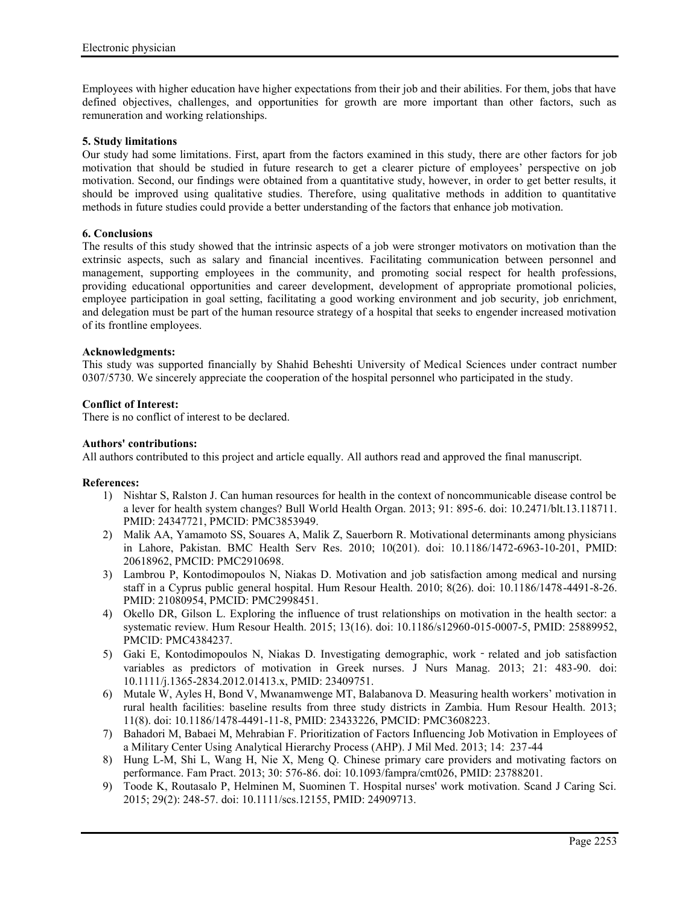Employees with higher education have higher expectations from their job and their abilities. For them, jobs that have defined objectives, challenges, and opportunities for growth are more important than other factors, such as remuneration and working relationships.

## **5. Study limitations**

Our study had some limitations. First, apart from the factors examined in this study, there are other factors for job motivation that should be studied in future research to get a clearer picture of employees' perspective on job motivation. Second, our findings were obtained from a quantitative study, however, in order to get better results, it should be improved using qualitative studies. Therefore, using qualitative methods in addition to quantitative methods in future studies could provide a better understanding of the factors that enhance job motivation.

## **6. Conclusions**

The results of this study showed that the intrinsic aspects of a job were stronger motivators on motivation than the extrinsic aspects, such as salary and financial incentives. Facilitating communication between personnel and management, supporting employees in the community, and promoting social respect for health professions, providing educational opportunities and career development, development of appropriate promotional policies, employee participation in goal setting, facilitating a good working environment and job security, job enrichment, and delegation must be part of the human resource strategy of a hospital that seeks to engender increased motivation of its frontline employees.

## **Acknowledgments:**

This study was supported financially by Shahid Beheshti University of Medical Sciences under contract number 0307/5730. We sincerely appreciate the cooperation of the hospital personnel who participated in the study.

## **Conflict of Interest:**

There is no conflict of interest to be declared.

## **Authors' contributions:**

All authors contributed to this project and article equally. All authors read and approved the final manuscript.

### **References:**

- 1) Nishtar S, Ralston J. Can human resources for health in the context of noncommunicable disease control be a lever for health system changes? Bull World Health Organ. 2013; 91: 895-6. doi: 10.2471/blt.13.118711. PMID: 24347721, PMCID: PMC3853949.
- 2) Malik AA, Yamamoto SS, Souares A, Malik Z, Sauerborn R. Motivational determinants among physicians in Lahore, Pakistan. BMC Health Serv Res. 2010; 10(201). doi: 10.1186/1472-6963-10-201, PMID: 20618962, PMCID: PMC2910698.
- 3) Lambrou P, Kontodimopoulos N, Niakas D. Motivation and job satisfaction among medical and nursing staff in a Cyprus public general hospital. Hum Resour Health. 2010; 8(26). doi: 10.1186/1478-4491-8-26. PMID: 21080954, PMCID: PMC2998451.
- 4) Okello DR, Gilson L. Exploring the influence of trust relationships on motivation in the health sector: a systematic review. Hum Resour Health. 2015; 13(16). doi: 10.1186/s12960-015-0007-5, PMID: 25889952, PMCID: PMC4384237.
- 5) Gaki E, Kontodimopoulos N, Niakas D. Investigating demographic, work related and job satisfaction variables as predictors of motivation in Greek nurses. J Nurs Manag. 2013; 21: 483-90. doi: 10.1111/j.1365-2834.2012.01413.x, PMID: 23409751.
- 6) Mutale W, Ayles H, Bond V, Mwanamwenge MT, Balabanova D. Measuring health workers' motivation in rural health facilities: baseline results from three study districts in Zambia. Hum Resour Health. 2013; 11(8). doi: 10.1186/1478-4491-11-8, PMID: 23433226, PMCID: PMC3608223.
- 7) Bahadori M, Babaei M, Mehrabian F. Prioritization of Factors Influencing Job Motivation in Employees of a Military Center Using Analytical Hierarchy Process (AHP). J Mil Med. 2013; 14: 237-44
- 8) Hung L-M, Shi L, Wang H, Nie X, Meng Q. Chinese primary care providers and motivating factors on performance. Fam Pract. 2013; 30: 576-86. doi: 10.1093/fampra/cmt026, PMID: 23788201.
- 9) Toode K, Routasalo P, Helminen M, Suominen T. Hospital nurses' work motivation. Scand J Caring Sci. 2015; 29(2): 248-57. doi: 10.1111/scs.12155, PMID: 24909713.